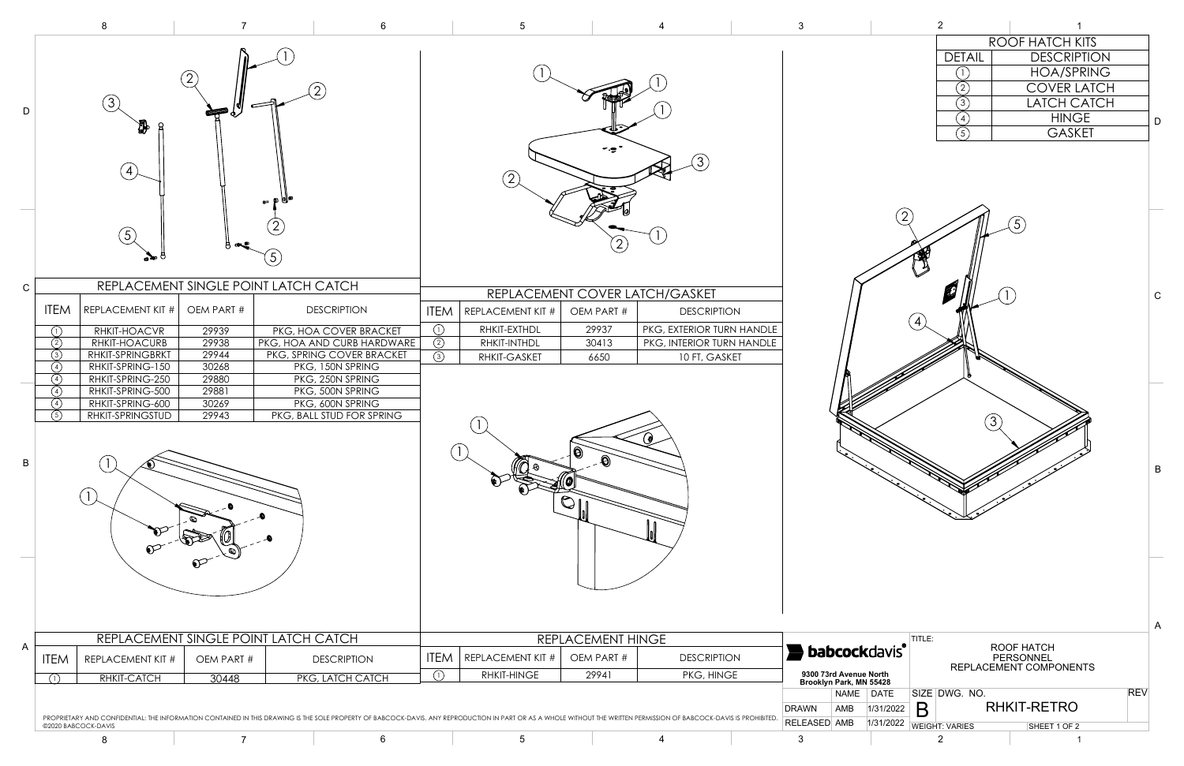

|                 | 8                                                                                                                                                                                                                                                 |                                                                                    |                                                                                                                                                                                                                      | 6                                         | $5\overline{)}$                                                               |                                      | 4                                                                                             | $\mathbf{3}$             |                                                   | $\overline{2}$                                      |                                                                                                           |
|-----------------|---------------------------------------------------------------------------------------------------------------------------------------------------------------------------------------------------------------------------------------------------|------------------------------------------------------------------------------------|----------------------------------------------------------------------------------------------------------------------------------------------------------------------------------------------------------------------|-------------------------------------------|-------------------------------------------------------------------------------|--------------------------------------|-----------------------------------------------------------------------------------------------|--------------------------|---------------------------------------------------|-----------------------------------------------------|-----------------------------------------------------------------------------------------------------------|
| D               | (3)<br>üР<br>$\vert$ 4)<br>(5)                                                                                                                                                                                                                    |                                                                                    | 5                                                                                                                                                                                                                    |                                           | (2)                                                                           | $\mathbf{2}^{\prime}$                | (3)                                                                                           |                          |                                                   | <b>DETAIL</b><br>(2)<br>$\circled{3}$<br>(4)<br>(5) | ROOF HATCH K<br><b>DESCRIP</b><br><b>HOA/SPI</b><br><b>COVER L</b><br>LATCH C<br><b>HING</b><br>GASK<br>5 |
| $\mathsf{C}$    |                                                                                                                                                                                                                                                   |                                                                                    | REPLACEMENT SINGLE POINT LATCH CATCH                                                                                                                                                                                 |                                           |                                                                               | REPLACEMENT COVER LATCH/GASKET       |                                                                                               |                          |                                                   |                                                     |                                                                                                           |
| $\, {\bf B} \,$ | <b>ITEM</b><br>REPLACEMENT KIT #<br>RHKIT-HOACVR<br>(1)<br>RHKIT-HOACURB<br>(2)<br>RHKIT-SPRINGBRKT<br>(3)<br>(4)<br>RHKIT-SPRING-150<br>RHKIT-SPRING-250<br>(4)<br>RHKIT-SPRING-500<br>(4)<br>RHKIT-SPRING-600<br>(4)<br>RHKIT-SPRINGSTUD<br>(5) | OEM PART #<br>29939<br>29938<br>29944<br>30268<br>29880<br>29881<br>30269<br>29943 | <b>DESCRIPTION</b><br>PKG, HOA COVER BRACKET<br>PKG, HOA AND CURB HARDWARE<br>PKG, SPRING COVER BRACKET<br>PKG, 150N SPRING<br>PKG, 250N SPRING<br>PKG, 500N SPRING<br>PKG, 600N SPRING<br>PKG, BALL STUD FOR SPRING | $\odot$<br>$\circled{2}$<br>$\circled{3}$ | <b>ITEM</b> REPLACEMENT KIT #<br>RHKIT-EXTHDL<br>RHKIT-INTHDL<br>RHKIT-GASKET | OEM PART #<br>29937<br>30413<br>6650 | <b>DESCRIPTION</b><br>PKG, EXTERIOR TURN HANDLE<br>PKG, INTERIOR TURN HANDLE<br>10 FT, GASKET |                          |                                                   | (3)                                                 |                                                                                                           |
| $\mathsf{A}$    | REPLACEMENT SINGLE POINT LATCH CATCH                                                                                                                                                                                                              |                                                                                    | <b>ITEM</b>                                                                                                                                                                                                          | REPLACEMENT HINGE                         |                                                                               |                                      | TITLE:<br><b>babcockdavis</b>                                                                 |                          | ROOF HATCH                                        |                                                     |                                                                                                           |
|                 | <b>ITEM</b><br><b>REPLACEMENT KIT #</b><br>RHKIT-CATCH<br>(1)                                                                                                                                                                                     | OEM PART #<br>30448                                                                | <b>DESCRIPTION</b><br>PKG, LATCH CATCH                                                                                                                                                                               | $\bigcap$                                 | <b>REPLACEMENT KIT #</b><br><b>RHKIT-HINGE</b>                                | OEM PART #<br>29941                  | <b>DESCRIPTION</b><br>PKG, HINGE                                                              |                          | 9300 73rd Avenue North<br>Brooklyn Park, MN 55428 |                                                     | PERSONNEL<br>REPLACEMENT COMPONEN                                                                         |
|                 | PROPRIETARY AND CONFIDENTIAL: THE INFORMATION CONTAINED IN THIS DRAWING IS THE SOLE PROPERTY OF BABCOCK-DAVIS. ANY REPRODUCTION IN PART OR AS A WHOLE WITHOUT THE WRITTEN PERMISSION OF BABCOCK-DAVIS IS PROHIBITED                               |                                                                                    |                                                                                                                                                                                                                      |                                           |                                                                               |                                      |                                                                                               | <b>DRAWN</b>             | NAME DATE<br>1/31/2022<br>AMB                     | SIZE DWG. NO.<br>B                                  | <b>RHKIT-RETRO</b>                                                                                        |
|                 | ©2020 BABCOCK-DAVIS<br>8                                                                                                                                                                                                                          | $\overline{7}$                                                                     |                                                                                                                                                                                                                      | 6                                         | $5\phantom{.0}$                                                               |                                      | 4                                                                                             | <b>RELEASED AMB</b><br>3 | 1/31/2022                                         | <b>WEIGHT: VARIES</b><br>$\overline{2}$             | SHEET 1 OF 2                                                                                              |

|               | ROOF HATCH KITS |                    |  |  |  |  |
|---------------|-----------------|--------------------|--|--|--|--|
| <b>DETAIL</b> |                 | <b>DESCRIPTION</b> |  |  |  |  |
|               |                 | <b>HOA/SPRING</b>  |  |  |  |  |
|               |                 | <b>COVER LATCH</b> |  |  |  |  |
|               |                 | <b>LATCH CATCH</b> |  |  |  |  |
|               |                 | <b>HINGE</b>       |  |  |  |  |
|               |                 | <b>GASKET</b>      |  |  |  |  |
|               |                 |                    |  |  |  |  |



B

C